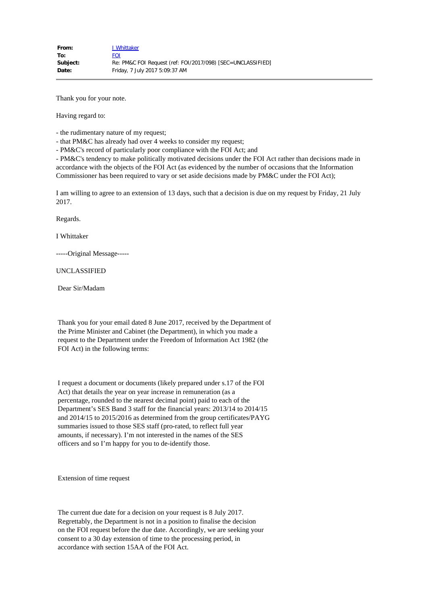Thank you for your note.

Having regard to:

- the rudimentary nature of my request;

- that PM&C has already had over 4 weeks to consider my request;

- PM&C's record of particularly poor compliance with the FOI Act; and

- PM&C's tendency to make politically motivated decisions under the FOI Act rather than decisions made in accordance with the objects of the FOI Act (as evidenced by the number of occasions that the Information Commissioner has been required to vary or set aside decisions made by PM&C under the FOI Act);

I am willing to agree to an extension of 13 days, such that a decision is due on my request by Friday, 21 July 2017.

Regards.

I Whittaker

-----Original Message-----

UNCLASSIFIED

Dear Sir/Madam

Thank you for your email dated 8 June 2017, received by the Department of the Prime Minister and Cabinet (the Department), in which you made a request to the Department under the Freedom of Information Act 1982 (the FOI Act) in the following terms:

I request a document or documents (likely prepared under s.17 of the FOI Act) that details the year on year increase in remuneration (as a percentage, rounded to the nearest decimal point) paid to each of the Department's SES Band 3 staff for the financial years: 2013/14 to 2014/15 and 2014/15 to 2015/2016 as determined from the group certificates/PAYG summaries issued to those SES staff (pro-rated, to reflect full year amounts, if necessary). I'm not interested in the names of the SES officers and so I'm happy for you to de-identify those.

Extension of time request

The current due date for a decision on your request is 8 July 2017. Regrettably, the Department is not in a position to finalise the decision on the FOI request before the due date. Accordingly, we are seeking your consent to a 30 day extension of time to the processing period, in accordance with section 15AA of the FOI Act.